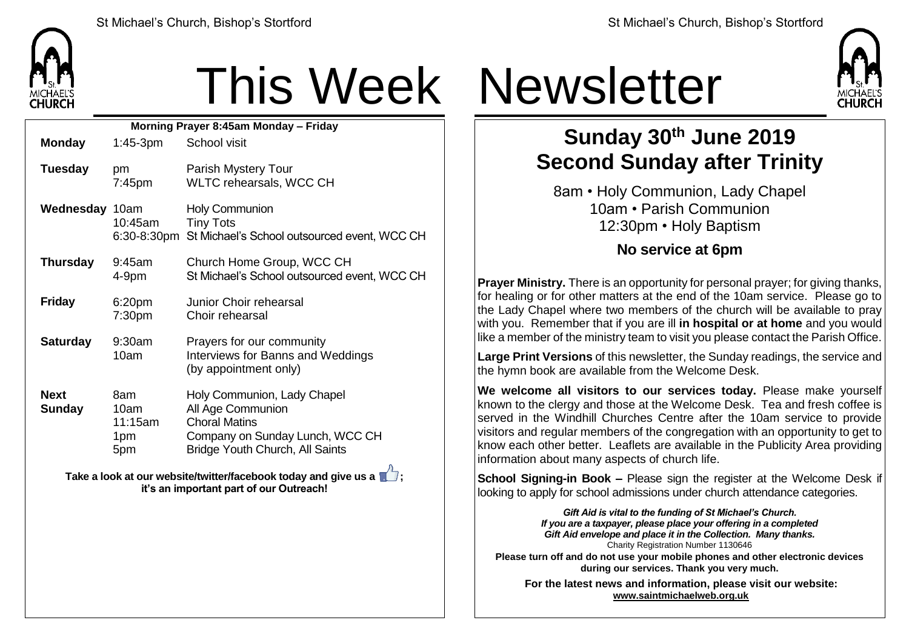

# This Week Newsletter

| Morning Prayer 8:45am Monday - Friday |                                      |                                                                                                                                                       |  |  |  |
|---------------------------------------|--------------------------------------|-------------------------------------------------------------------------------------------------------------------------------------------------------|--|--|--|
| <b>Monday</b>                         | $1:45-3$ pm                          | School visit                                                                                                                                          |  |  |  |
| <b>Tuesday</b>                        | pm<br>7:45pm                         | Parish Mystery Tour<br>WLTC rehearsals, WCC CH                                                                                                        |  |  |  |
| Wednesday 10am                        | 10:45am                              | <b>Holy Communion</b><br><b>Tiny Tots</b><br>6:30-8:30pm St Michael's School outsourced event, WCC CH                                                 |  |  |  |
| <b>Thursday</b>                       | 9:45am<br>4-9pm                      | Church Home Group, WCC CH<br>St Michael's School outsourced event, WCC CH                                                                             |  |  |  |
| <b>Friday</b>                         | 6:20pm<br>7:30pm                     | Junior Choir rehearsal<br>Choir rehearsal                                                                                                             |  |  |  |
| <b>Saturday</b>                       | 9:30am<br>10am                       | Prayers for our community<br>Interviews for Banns and Weddings<br>(by appointment only)                                                               |  |  |  |
| <b>Next</b><br><b>Sunday</b>          | 8am<br>10am<br>11:15am<br>1pm<br>5pm | Holy Communion, Lady Chapel<br>All Age Communion<br><b>Choral Matins</b><br>Company on Sunday Lunch, WCC CH<br><b>Bridge Youth Church, All Saints</b> |  |  |  |

**Take a look at our website/twitter/facebook today and give us a**  $\mathbb{Z}$ **; it's an important part of our Outreach!**



### **Sunday 30th June 2019 Second Sunday after Trinity**

8am • Holy Communion, Lady Chapel 10am • Parish Communion 12:30pm • Holy Baptism

#### **No service at 6pm**

**Prayer Ministry.** There is an opportunity for personal prayer; for giving thanks, for healing or for other matters at the end of the 10am service. Please go to the Lady Chapel where two members of the church will be available to pray with you. Remember that if you are ill **in hospital or at home** and you would like a member of the ministry team to visit you please contact the Parish Office.

**Large Print Versions** of this newsletter, the Sunday readings, the service and the hymn book are available from the Welcome Desk.

**We welcome all visitors to our services today.** Please make yourself known to the clergy and those at the Welcome Desk. Tea and fresh coffee is served in the Windhill Churches Centre after the 10am service to provide visitors and regular members of the congregation with an opportunity to get to  $k$  know each other better. Leaflets are available in the Publicity Area providing information about many aspects of church life.

**School Signing-in Book –** Please sign the register at the Welcome Desk if looking to apply for school admissions under church attendance categories.

> *Gift Aid is vital to the funding of St Michael's Church. If you are a taxpayer, please place your offering in a completed Gift Aid envelope and place it in the Collection. Many thanks.* Charity Registration Number 1130646

**Please turn off and do not use your mobile phones and other electronic devices during our services. Thank you very much.**

**For the latest news and information, please visit our website: [www.saintmichaelweb.org.uk](http://www.saintmichaelweb.org.uk/)**